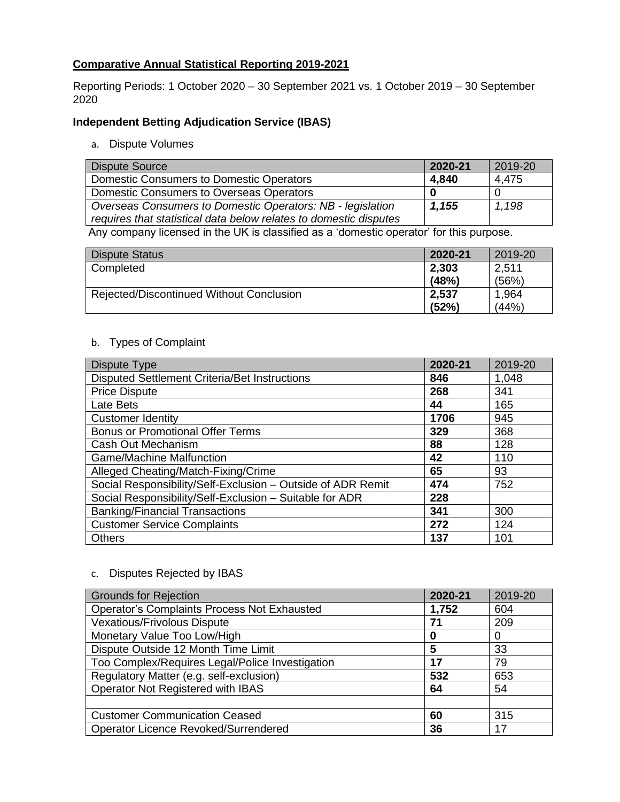# **Comparative Annual Statistical Reporting 2019-2021**

Reporting Periods: 1 October 2020 – 30 September 2021 vs. 1 October 2019 – 30 September 2020

## **Independent Betting Adjudication Service (IBAS)**

a. Dispute Volumes

| <b>Dispute Source</b>                                             | 2020-21 | 2019-20 |
|-------------------------------------------------------------------|---------|---------|
| <b>Domestic Consumers to Domestic Operators</b>                   | 4.840   | 4.475   |
| Domestic Consumers to Overseas Operators                          |         |         |
| Overseas Consumers to Domestic Operators: NB - legislation        | 1,155   | 1,198   |
| requires that statistical data below relates to domestic disputes |         |         |

Any company licensed in the UK is classified as a 'domestic operator' for this purpose.

| Dispute Status                           | 2020-21 | 2019-20 |
|------------------------------------------|---------|---------|
| Completed                                | 2,303   | 2,511   |
|                                          | (48%)   | (56%)   |
| Rejected/Discontinued Without Conclusion | 2,537   | 1,964   |
|                                          | (52%)   | (44% )  |

## b. Types of Complaint

| Dispute Type                                                | 2020-21 | 2019-20 |
|-------------------------------------------------------------|---------|---------|
| Disputed Settlement Criteria/Bet Instructions               | 846     | 1,048   |
| <b>Price Dispute</b>                                        | 268     | 341     |
| Late Bets                                                   | 44      | 165     |
| <b>Customer Identity</b>                                    | 1706    | 945     |
| <b>Bonus or Promotional Offer Terms</b>                     | 329     | 368     |
| Cash Out Mechanism                                          | 88      | 128     |
| <b>Game/Machine Malfunction</b>                             | 42      | 110     |
| Alleged Cheating/Match-Fixing/Crime                         | 65      | 93      |
| Social Responsibility/Self-Exclusion - Outside of ADR Remit | 474     | 752     |
| Social Responsibility/Self-Exclusion - Suitable for ADR     | 228     |         |
| <b>Banking/Financial Transactions</b>                       | 341     | 300     |
| <b>Customer Service Complaints</b>                          | 272     | 124     |
| <b>Others</b>                                               | 137     | 101     |

### c. Disputes Rejected by IBAS

| <b>Grounds for Rejection</b>                       | 2020-21 | 2019-20 |
|----------------------------------------------------|---------|---------|
| <b>Operator's Complaints Process Not Exhausted</b> | 1,752   | 604     |
| <b>Vexatious/Frivolous Dispute</b>                 | 71      | 209     |
| Monetary Value Too Low/High                        | 0       | 0       |
| Dispute Outside 12 Month Time Limit                | 5       | 33      |
| Too Complex/Requires Legal/Police Investigation    | 17      | 79      |
| Regulatory Matter (e.g. self-exclusion)            | 532     | 653     |
| Operator Not Registered with IBAS                  | 64      | 54      |
|                                                    |         |         |
| <b>Customer Communication Ceased</b>               | 60      | 315     |
| Operator Licence Revoked/Surrendered               | 36      | 17      |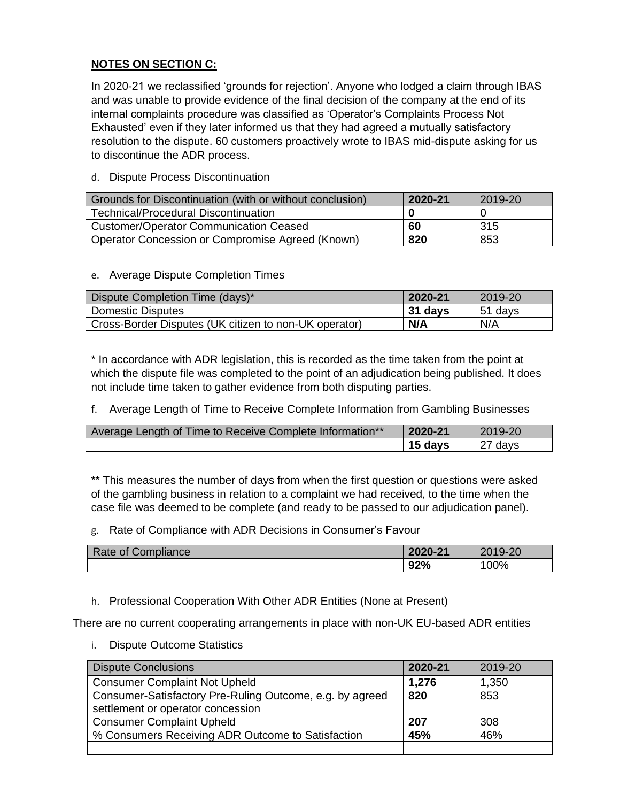## **NOTES ON SECTION C:**

In 2020-21 we reclassified 'grounds for rejection'. Anyone who lodged a claim through IBAS and was unable to provide evidence of the final decision of the company at the end of its internal complaints procedure was classified as 'Operator's Complaints Process Not Exhausted' even if they later informed us that they had agreed a mutually satisfactory resolution to the dispute. 60 customers proactively wrote to IBAS mid-dispute asking for us to discontinue the ADR process.

### d. Dispute Process Discontinuation

| Grounds for Discontinuation (with or without conclusion) | 2020-21 | 2019-20 |
|----------------------------------------------------------|---------|---------|
| <b>Technical/Procedural Discontinuation</b>              |         |         |
| <b>Customer/Operator Communication Ceased</b>            | 60      | 315     |
| Operator Concession or Compromise Agreed (Known)         | 820     | 853     |

### e. Average Dispute Completion Times

| Dispute Completion Time (days)*                       | 2020-21 | 2019-20 |
|-------------------------------------------------------|---------|---------|
| <b>Domestic Disputes</b>                              | 31 days | 51 days |
| Cross-Border Disputes (UK citizen to non-UK operator) | N/A     | N/A     |

\* In accordance with ADR legislation, this is recorded as the time taken from the point at which the dispute file was completed to the point of an adjudication being published. It does not include time taken to gather evidence from both disputing parties.

f. Average Length of Time to Receive Complete Information from Gambling Businesses

| Average Length of Time to Receive Complete Information** | 2020-21 | 2019-20            |
|----------------------------------------------------------|---------|--------------------|
|                                                          | 15 davs | <sup>27</sup> days |

\*\* This measures the number of days from when the first question or questions were asked of the gambling business in relation to a complaint we had received, to the time when the case file was deemed to be complete (and ready to be passed to our adjudication panel).

g. Rate of Compliance with ADR Decisions in Consumer's Favour

| $D = 1$<br>Compliance<br>kate of <i>k</i> | 2020-21 | 2019-20<br>ZU<br>-20 |
|-------------------------------------------|---------|----------------------|
|                                           | 92%     | 100%                 |

h. Professional Cooperation With Other ADR Entities (None at Present)

There are no current cooperating arrangements in place with non-UK EU-based ADR entities

i. Dispute Outcome Statistics

| <b>Dispute Conclusions</b>                               | 2020-21 | 2019-20 |
|----------------------------------------------------------|---------|---------|
| <b>Consumer Complaint Not Upheld</b>                     | 1,276   | 1,350   |
| Consumer-Satisfactory Pre-Ruling Outcome, e.g. by agreed | 820     | 853     |
| settlement or operator concession                        |         |         |
| <b>Consumer Complaint Upheld</b>                         | 207     | 308     |
| % Consumers Receiving ADR Outcome to Satisfaction        | 45%     | 46%     |
|                                                          |         |         |